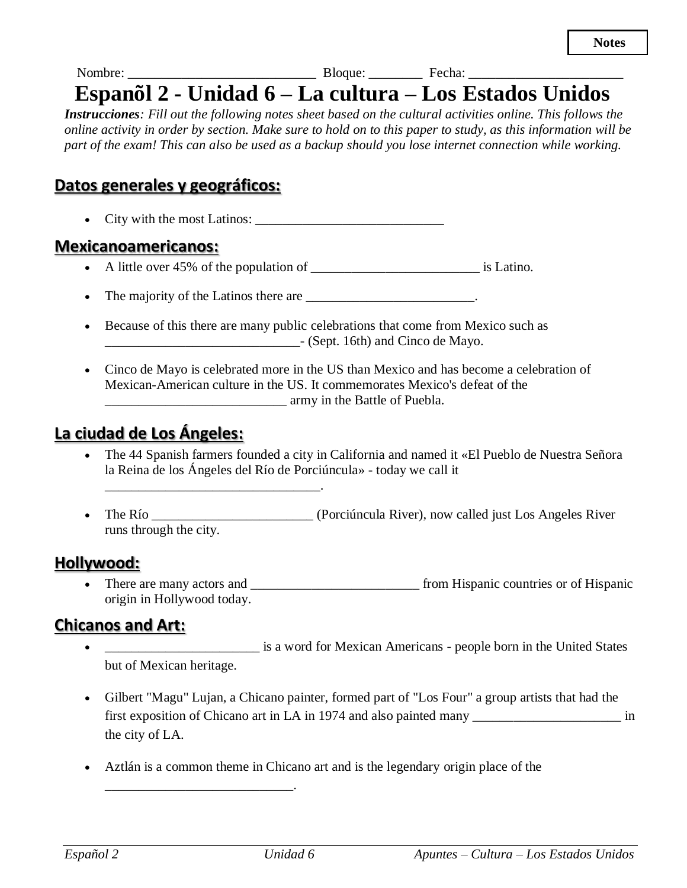*Instrucciones: Fill out the following notes sheet based on the cultural activities online. This follows the online activity in order by section. Make sure to hold on to this paper to study, as this information will be part of the exam! This can also be used as a backup should you lose internet connection while working.*

### **Datos generales y geográficos:**

• City with the most Latinos:

#### **Mexicanoamericanos:**

- A little over 45% of the population of  $\blacksquare$  is Latino.
- The majority of the Latinos there are  $\Box$

Nombre: \_\_\_\_\_\_\_\_\_\_\_\_\_\_\_\_\_\_\_\_\_\_\_\_\_\_\_\_ Bloque: \_\_\_\_\_\_\_\_ Fecha: \_\_\_\_\_\_\_\_\_\_\_\_\_\_\_\_\_\_\_\_\_\_\_

- Because of this there are many public celebrations that come from Mexico such as \_\_\_\_\_\_\_\_\_\_\_\_\_\_\_\_\_\_\_\_\_\_\_\_\_\_\_\_\_- (Sept. 16th) and Cinco de Mayo.
- Cinco de Mayo is celebrated more in the US than Mexico and has become a celebration of Mexican-American culture in the US. It commemorates Mexico's defeat of the example army in the Battle of Puebla.

# **La ciudad de Los Ángeles:**

\_\_\_\_\_\_\_\_\_\_\_\_\_\_\_\_\_\_\_\_\_\_\_\_\_\_\_\_\_\_\_\_.

\_\_\_\_\_\_\_\_\_\_\_\_\_\_\_\_\_\_\_\_\_\_\_\_\_\_\_\_.

- The 44 Spanish farmers founded a city in California and named it «El Pueblo de Nuestra Señora la Reina de los Ángeles del Río de Porciúncula» - today we call it
- The Río **Example 20** (Porciúncula River), now called just Los Angeles River runs through the city.

### **Hollywood:**

• There are many actors and \_\_\_\_\_\_\_\_\_\_\_\_\_\_\_\_\_\_\_\_\_\_\_\_\_ from Hispanic countries or of Hispanic origin in Hollywood today.

### **Chicanos and Art:**

- **\_\_\_\_\_\_\_\_\_\_\_\_\_\_\_\_\_\_\_\_\_** is a word for Mexican Americans people born in the United States but of Mexican heritage.
- Gilbert "Magu" Lujan, a Chicano painter, formed part of "Los Four" a group artists that had the first exposition of Chicano art in LA in 1974 and also painted many \_\_\_\_\_\_\_\_\_\_\_\_\_\_\_\_\_\_\_\_\_\_ in the city of LA.
- Aztlán is a common theme in Chicano art and is the legendary origin place of the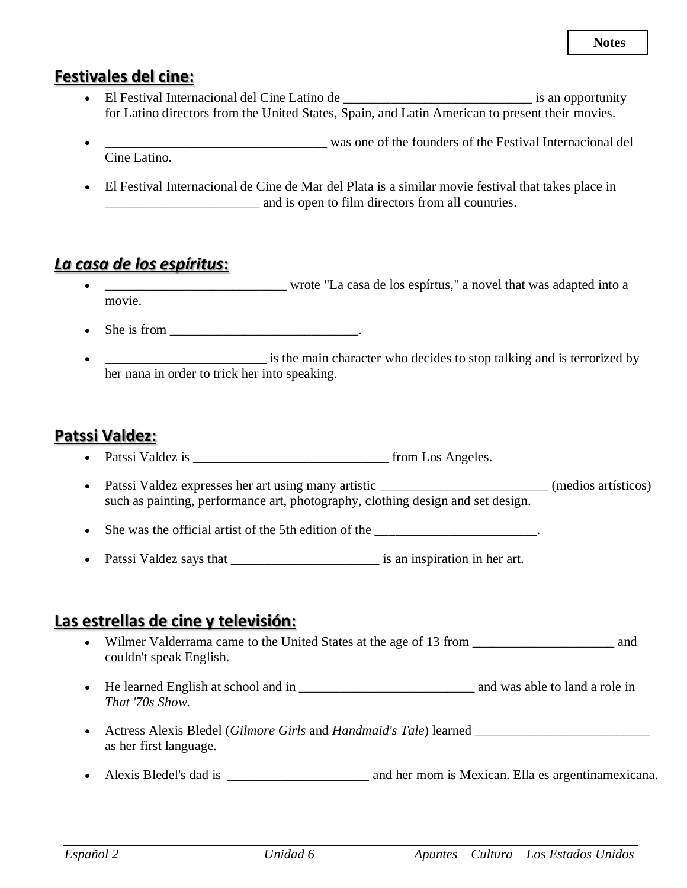### **Festivales del cine:**

- El Festival Internacional del Cine Latino de \_\_\_\_\_\_\_\_\_\_\_\_\_\_\_\_\_\_\_\_\_\_\_\_\_\_\_\_\_\_\_\_\_\_ is an opportunity for Latino directors from the United States, Spain, and Latin American to present their movies.
- was one of the founders of the Festival Internacional del Cine Latino.
- El Festival Internacional de Cine de Mar del Plata is a similar movie festival that takes place in  $\Box$  and is open to film directors from all countries.

# *La casa de los espíritus***:**

- \_\_\_\_\_\_\_\_\_\_\_\_\_\_\_\_\_\_\_\_\_\_\_\_\_\_\_ wrote "La casa de los espírtus," a novel that was adapted into a movie.
- She is from  $\frac{1}{\sqrt{1-\frac{1}{2}}}\cdot$
- is the main character who decides to stop talking and is terrorized by her nana in order to trick her into speaking.

# **Patssi Valdez:**

- Patssi Valdez is **Figure 2.1** from Los Angeles.
- Patssi Valdez expresses her art using many artistic \_\_\_\_\_\_\_\_\_\_\_\_\_\_\_\_\_\_\_\_\_\_\_\_\_ (medios artísticos) such as painting, performance art, photography, clothing design and set design.
- She was the official artist of the 5th edition of the \_\_\_\_\_\_\_\_\_\_\_\_\_\_\_\_\_\_\_\_\_.
- Patssi Valdez says that \_\_\_\_\_\_\_\_\_\_\_\_\_\_\_\_\_\_\_\_\_\_ is an inspiration in her art.

#### **Las estrellas de cine y televisión:**

- Wilmer Valderrama came to the United States at the age of 13 from \_\_\_\_\_\_\_\_\_\_\_\_\_\_\_\_\_\_\_\_\_ and couldn't speak English.
- He learned English at school and in \_\_\_\_\_\_\_\_\_\_\_\_\_\_\_\_\_\_\_\_\_\_\_\_\_\_ and was able to land a role in *That '70s Show*.
- Actress Alexis Bledel *(Gilmore Girls* and *Handmaid's Tale*) learned as her first language.
- Alexis Bledel's dad is \_\_\_\_\_\_\_\_\_\_\_\_\_\_\_\_\_\_\_\_\_\_\_\_\_\_\_\_\_\_\_\_ and her mom is Mexican. Ella es argentinamexicana.